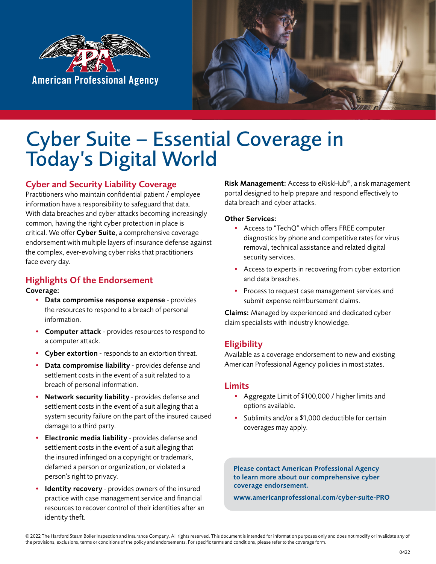



## Cyber Suite – Essential Coverage in Today's Digital World

#### Cyber and Security Liability Coverage

Practitioners who maintain confidential patient / employee information have a responsibility to safeguard that data. With data breaches and cyber attacks becoming increasingly common, having the right cyber protection in place is critical. We offer Cyber Suite, a comprehensive coverage endorsement with multiple layers of insurance defense against the complex, ever-evolving cyber risks that practitioners face every day.

### Highlights Of the Endorsement

#### Coverage:

- Data compromise response expense provides the resources to respond to a breach of personal information.
- Computer attack provides resources to respond to a computer attack.
- Cyber extortion responds to an extortion threat.
- Data compromise liability provides defense and settlement costs in the event of a suit related to a breach of personal information.
- Network security liability provides defense and settlement costs in the event of a suit alleging that a system security failure on the part of the insured caused damage to a third party.
- Electronic media liability provides defense and settlement costs in the event of a suit alleging that the insured infringed on a copyright or trademark, defamed a person or organization, or violated a person's right to privacy.
- Identity recovery provides owners of the insured practice with case management service and financial resources to recover control of their identities after an identity theft.

Risk Management: Access to eRiskHub®, a risk management portal designed to help prepare and respond effectively to data breach and cyber attacks.

#### Other Services:

- Access to "TechQ" which offers FREE computer diagnostics by phone and competitive rates for virus removal, technical assistance and related digital security services.
- Access to experts in recovering from cyber extortion and data breaches.
- Process to request case management services and submit expense reimbursement claims.

Claims: Managed by experienced and dedicated cyber claim specialists with industry knowledge.

#### **Eligibility**

Available as a coverage endorsement to new and existing American Professional Agency policies in most states.

#### Limits

- Aggregate Limit of \$100,000 / higher limits and options available.
- Sublimits and/or a \$1,000 deductible for certain coverages may apply.

Please contact American Professional Agency to learn more about our comprehensive cyber coverage endorsement.

www.americanprofessional.com/cyber-suite-PRO

© 2022 The Hartford Steam Boiler Inspection and Insurance Company. All rights reserved. This document is intended for information purposes only and does not modify or invalidate any of the provisions, exclusions, terms or conditions of the policy and endorsements. For specific terms and conditions, please refer to the coverage form.